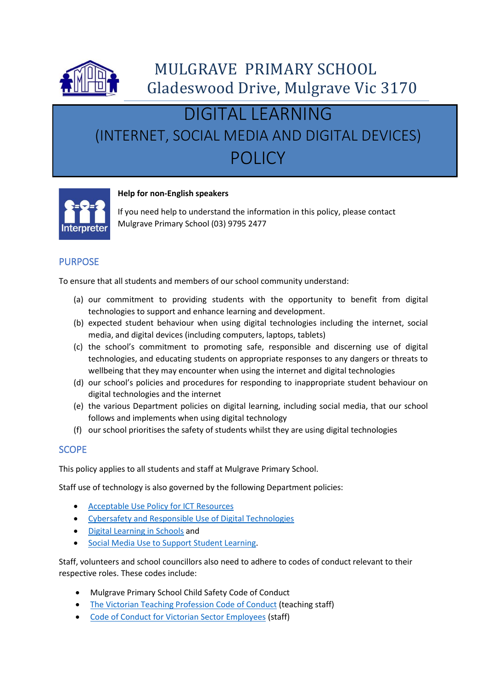

# DIGITAL LEARNING (INTERNET, SOCIAL MEDIA AND DIGITAL DEVICES) POLICY



#### **Help for non-English speakers**

If you need help to understand the information in this policy, please contact Mulgrave Primary School (03) 9795 2477

## PURPOSE

To ensure that all students and members of our school community understand:

- (a) our commitment to providing students with the opportunity to benefit from digital technologies to support and enhance learning and development.
- (b) expected student behaviour when using digital technologies including the internet, social media, and digital devices (including computers, laptops, tablets)
- (c) the school's commitment to promoting safe, responsible and discerning use of digital technologies, and educating students on appropriate responses to any dangers or threats to wellbeing that they may encounter when using the internet and digital technologies
- (d) our school's policies and procedures for responding to inappropriate student behaviour on digital technologies and the internet
- (e) the various Department policies on digital learning, including social media, that our school follows and implements when using digital technology
- (f) our school prioritises the safety of students whilst they are using digital technologies

#### **SCOPE**

This policy applies to all students and staff at Mulgrave Primary School.

Staff use of technology is also governed by the following Department policies:

- [Acceptable Use Policy for ICT Resources](https://www2.education.vic.gov.au/pal/ict-acceptable-use/overview)
- [Cybersafety and Responsible Use of Digital Technologies](https://www2.education.vic.gov.au/pal/cybersafety/policy)
- [Digital Learning in Schools](https://www2.education.vic.gov.au/pal/digital-learning/policy) and
- [Social Media Use to Support Student Learning.](https://www2.education.vic.gov.au/pal/social-media/policy)

Staff, volunteers and school councillors also need to adhere to codes of conduct relevant to their respective roles. These codes include:

- Mulgrave Primary School Child Safety Code of Conduct
- [The Victorian Teaching Profession Code of Conduct](https://www.vit.vic.edu.au/__data/assets/pdf_file/0018/35604/Code-of-Conduct-2016.pdf) (teaching staff)
- [Code of Conduct for Victorian Sector Employees](https://www2.education.vic.gov.au/pal/code-conduct/overview) (staff)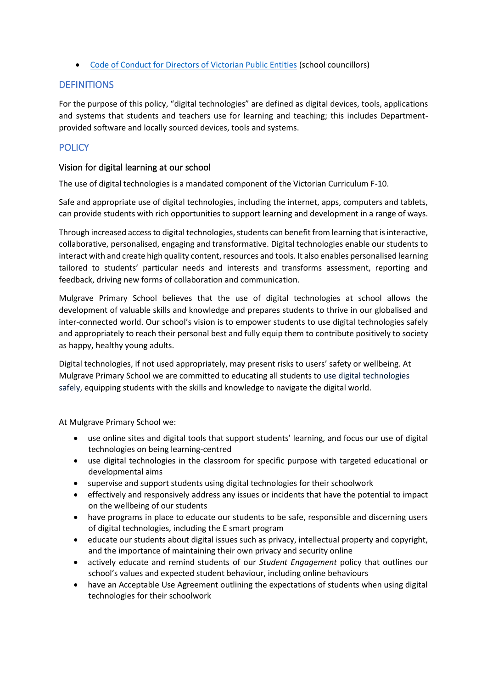• [Code of Conduct for Directors of Victorian Public Entities](https://www2.education.vic.gov.au/pal/school-council-conduct/policy) (school councillors)

## DEFINITIONS

For the purpose of this policy, "digital technologies" are defined as digital devices, tools, applications and systems that students and teachers use for learning and teaching; this includes Departmentprovided software and locally sourced devices, tools and systems.

# **POLICY**

## Vision for digital learning at our school

The use of digital technologies is a mandated component of the Victorian Curriculum F-10.

Safe and appropriate use of digital technologies, including the internet, apps, computers and tablets, can provide students with rich opportunities to support learning and development in a range of ways.

Through increased access to digital technologies, students can benefit from learning that is interactive, collaborative, personalised, engaging and transformative. Digital technologies enable our students to interact with and create high quality content, resources and tools. It also enables personalised learning tailored to students' particular needs and interests and transforms assessment, reporting and feedback, driving new forms of collaboration and communication.

Mulgrave Primary School believes that the use of digital technologies at school allows the development of valuable skills and knowledge and prepares students to thrive in our globalised and inter-connected world. Our school's vision is to empower students to use digital technologies safely and appropriately to reach their personal best and fully equip them to contribute positively to society as happy, healthy young adults.

Digital technologies, if not used appropriately, may present risks to users' safety or wellbeing. At Mulgrave Primary School we are committed to educating all students to use digital technologies safely, equipping students with the skills and knowledge to navigate the digital world.

At Mulgrave Primary School we:

- use online sites and digital tools that support students' learning, and focus our use of digital technologies on being learning-centred
- use digital technologies in the classroom for specific purpose with targeted educational or developmental aims
- supervise and support students using digital technologies for their schoolwork
- effectively and responsively address any issues or incidents that have the potential to impact on the wellbeing of our students
- have programs in place to educate our students to be safe, responsible and discerning users of digital technologies, including the E smart program
- educate our students about digital issues such as privacy, intellectual property and copyright, and the importance of maintaining their own privacy and security online
- actively educate and remind students of our *Student Engagement* policy that outlines our school's values and expected student behaviour, including online behaviours
- have an Acceptable Use Agreement outlining the expectations of students when using digital technologies for their schoolwork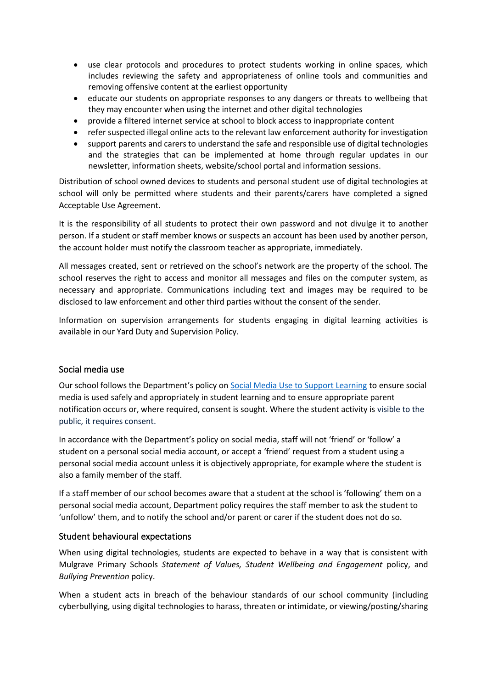- use clear protocols and procedures to protect students working in online spaces, which includes reviewing the safety and appropriateness of online tools and communities and removing offensive content at the earliest opportunity
- educate our students on appropriate responses to any dangers or threats to wellbeing that they may encounter when using the internet and other digital technologies
- provide a filtered internet service at school to block access to inappropriate content
- refer suspected illegal online acts to the relevant law enforcement authority for investigation
- support parents and carers to understand the safe and responsible use of digital technologies and the strategies that can be implemented at home through regular updates in our newsletter, information sheets, website/school portal and information sessions.

Distribution of school owned devices to students and personal student use of digital technologies at school will only be permitted where students and their parents/carers have completed a signed Acceptable Use Agreement.

It is the responsibility of all students to protect their own password and not divulge it to another person. If a student or staff member knows or suspects an account has been used by another person, the account holder must notify the classroom teacher as appropriate, immediately.

All messages created, sent or retrieved on the school's network are the property of the school. The school reserves the right to access and monitor all messages and files on the computer system, as necessary and appropriate. Communications including text and images may be required to be disclosed to law enforcement and other third parties without the consent of the sender.

Information on supervision arrangements for students engaging in digital learning activities is available in our Yard Duty and Supervision Policy.

#### Social media use

Our school follows the Department's policy on [Social Media Use to Support Learning](https://www2.education.vic.gov.au/pal/social-media/policy) to ensure social media is used safely and appropriately in student learning and to ensure appropriate parent notification occurs or, where required, consent is sought. Where the student activity is visible to the public, it requires consent.

In accordance with the Department's policy on social media, staff will not 'friend' or 'follow' a student on a personal social media account, or accept a 'friend' request from a student using a personal social media account unless it is objectively appropriate, for example where the student is also a family member of the staff.

If a staff member of our school becomes aware that a student at the school is 'following' them on a personal social media account, Department policy requires the staff member to ask the student to 'unfollow' them, and to notify the school and/or parent or carer if the student does not do so.

#### Student behavioural expectations

When using digital technologies, students are expected to behave in a way that is consistent with Mulgrave Primary Schools *Statement of Values, Student Wellbeing and Engagement* policy, and *Bullying Prevention* policy.

When a student acts in breach of the behaviour standards of our school community (including cyberbullying, using digital technologies to harass, threaten or intimidate, or viewing/posting/sharing